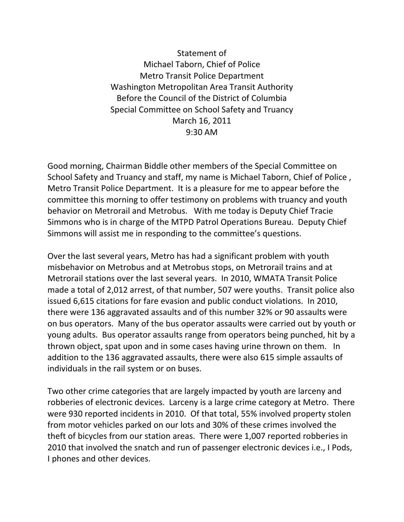Statement of Michael Taborn, Chief of Police Metro Transit Police Department Washington Metropolitan Area Transit Authority Before the Council of the District of Columbia Special Committee on School Safety and Truancy March 16, 2011 9:30 AM

Good morning, Chairman Biddle other members of the Special Committee on School Safety and Truancy and staff, my name is Michael Taborn, Chief of Police , Metro Transit Police Department. It is a pleasure for me to appear before the committee this morning to offer testimony on problems with truancy and youth behavior on Metrorail and Metrobus. With me today is Deputy Chief Tracie Simmons who is in charge of the MTPD Patrol Operations Bureau. Deputy Chief Simmons will assist me in responding to the committee's questions.

Over the last several years, Metro has had a significant problem with youth misbehavior on Metrobus and at Metrobus stops, on Metrorail trains and at Metrorail stations over the last several years. In 2010, WMATA Transit Police made a total of 2,012 arrest, of that number, 507 were youths. Transit police also issued 6,615 citations for fare evasion and public conduct violations. In 2010, there were 136 aggravated assaults and of this number 32% or 90 assaults were on bus operators. Many of the bus operator assaults were carried out by youth or young adults. Bus operator assaults range from operators being punched, hit by a thrown object, spat upon and in some cases having urine thrown on them. In addition to the 136 aggravated assaults, there were also 615 simple assaults of individuals in the rail system or on buses.

Two other crime categories that are largely impacted by youth are larceny and robberies of electronic devices. Larceny is a large crime category at Metro. There were 930 reported incidents in 2010. Of that total, 55% involved property stolen from motor vehicles parked on our lots and 30% of these crimes involved the theft of bicycles from our station areas. There were 1,007 reported robberies in 2010 that involved the snatch and run of passenger electronic devices i.e., I Pods, I phones and other devices.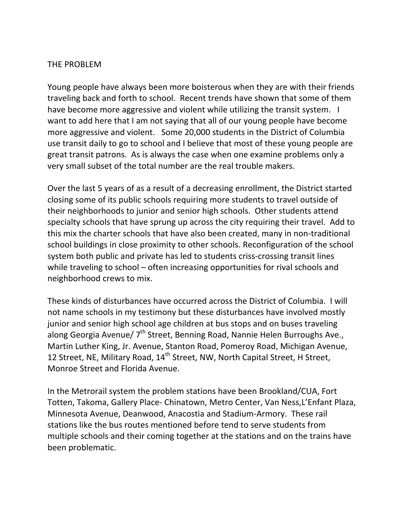## THE PROBLEM

Young people have always been more boisterous when they are with their friends traveling back and forth to school. Recent trends have shown that some of them have become more aggressive and violent while utilizing the transit system. I want to add here that I am not saying that all of our young people have become more aggressive and violent. Some 20,000 students in the District of Columbia use transit daily to go to school and I believe that most of these young people are great transit patrons. As is always the case when one examine problems only a very small subset of the total number are the real trouble makers.

Over the last 5 years of as a result of a decreasing enrollment, the District started closing some of its public schools requiring more students to travel outside of their neighborhoods to junior and senior high schools. Other students attend specialty schools that have sprung up across the city requiring their travel. Add to this mix the charter schools that have also been created, many in non‐traditional school buildings in close proximity to other schools. Reconfiguration of the school system both public and private has led to students criss‐crossing transit lines while traveling to school – often increasing opportunities for rival schools and neighborhood crews to mix.

These kinds of disturbances have occurred across the District of Columbia. I will not name schools in my testimony but these disturbances have involved mostly junior and senior high school age children at bus stops and on buses traveling along Georgia Avenue/ 7<sup>th</sup> Street, Benning Road, Nannie Helen Burroughs Ave., Martin Luther King, Jr. Avenue, Stanton Road, Pomeroy Road, Michigan Avenue, 12 Street, NE, Military Road, 14<sup>th</sup> Street, NW, North Capital Street, H Street, Monroe Street and Florida Avenue.

In the Metrorail system the problem stations have been Brookland/CUA, Fort Totten, Takoma, Gallery Place‐ Chinatown, Metro Center, Van Ness,L'Enfant Plaza, Minnesota Avenue, Deanwood, Anacostia and Stadium‐Armory. These rail stations like the bus routes mentioned before tend to serve students from multiple schools and their coming together at the stations and on the trains have been problematic.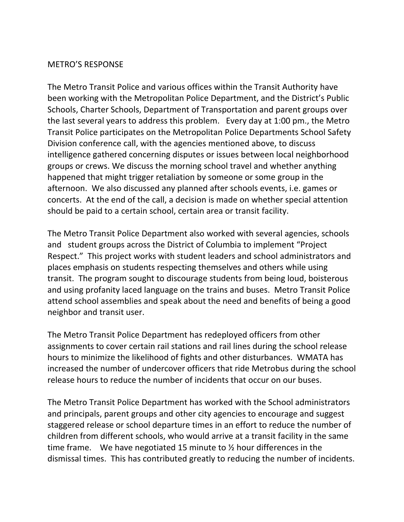## METRO'S RESPONSE

The Metro Transit Police and various offices within the Transit Authority have been working with the Metropolitan Police Department, and the District's Public Schools, Charter Schools, Department of Transportation and parent groups over the last several years to address this problem. Every day at 1:00 pm., the Metro Transit Police participates on the Metropolitan Police Departments School Safety Division conference call, with the agencies mentioned above, to discuss intelligence gathered concerning disputes or issues between local neighborhood groups or crews. We discuss the morning school travel and whether anything happened that might trigger retaliation by someone or some group in the afternoon. We also discussed any planned after schools events, i.e. games or concerts. At the end of the call, a decision is made on whether special attention should be paid to a certain school, certain area or transit facility.

The Metro Transit Police Department also worked with several agencies, schools and student groups across the District of Columbia to implement "Project" Respect." This project works with student leaders and school administrators and places emphasis on students respecting themselves and others while using transit. The program sought to discourage students from being loud, boisterous and using profanity laced language on the trains and buses. Metro Transit Police attend school assemblies and speak about the need and benefits of being a good neighbor and transit user.

The Metro Transit Police Department has redeployed officers from other assignments to cover certain rail stations and rail lines during the school release hours to minimize the likelihood of fights and other disturbances. WMATA has increased the number of undercover officers that ride Metrobus during the school release hours to reduce the number of incidents that occur on our buses.

The Metro Transit Police Department has worked with the School administrators and principals, parent groups and other city agencies to encourage and suggest staggered release or school departure times in an effort to reduce the number of children from different schools, who would arrive at a transit facility in the same time frame. We have negotiated 15 minute to  $\frac{1}{2}$  hour differences in the dismissal times. This has contributed greatly to reducing the number of incidents.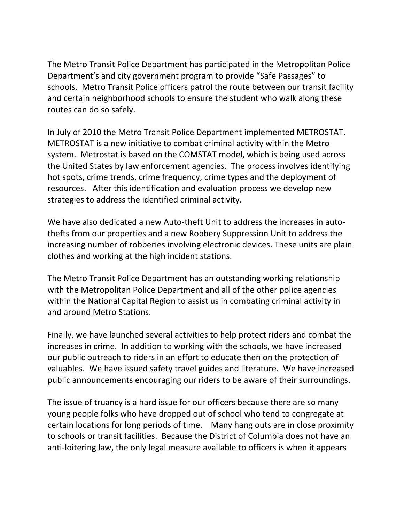The Metro Transit Police Department has participated in the Metropolitan Police Department's and city government program to provide "Safe Passages" to schools. Metro Transit Police officers patrol the route between our transit facility and certain neighborhood schools to ensure the student who walk along these routes can do so safely.

In July of 2010 the Metro Transit Police Department implemented METROSTAT. METROSTAT is a new initiative to combat criminal activity within the Metro system. Metrostat is based on the COMSTAT model, which is being used across the United States by law enforcement agencies. The process involves identifying hot spots, crime trends, crime frequency, crime types and the deployment of resources. After this identification and evaluation process we develop new strategies to address the identified criminal activity.

We have also dedicated a new Auto-theft Unit to address the increases in autothefts from our properties and a new Robbery Suppression Unit to address the increasing number of robberies involving electronic devices. These units are plain clothes and working at the high incident stations.

The Metro Transit Police Department has an outstanding working relationship with the Metropolitan Police Department and all of the other police agencies within the National Capital Region to assist us in combating criminal activity in and around Metro Stations.

Finally, we have launched several activities to help protect riders and combat the increases in crime. In addition to working with the schools, we have increased our public outreach to riders in an effort to educate then on the protection of valuables. We have issued safety travel guides and literature. We have increased public announcements encouraging our riders to be aware of their surroundings.

The issue of truancy is a hard issue for our officers because there are so many young people folks who have dropped out of school who tend to congregate at certain locations for long periods of time. Many hang outs are in close proximity to schools or transit facilities. Because the District of Columbia does not have an anti-loitering law, the only legal measure available to officers is when it appears